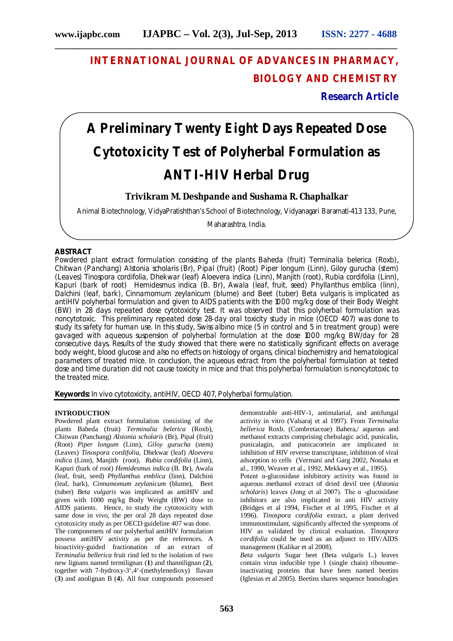# **INTERNATIONAL JOURNAL OF ADVANCES IN PHARMACY, BIOLOGY AND CHEMISTRY**

**Research Article**

# **A Preliminary Twenty Eight Days Repeated Dose Cytotoxicity Test of Polyherbal Formulation as ANTI-HIV Herbal Drug**

# **Trivikram M. Deshpande and Sushama R. Chaphalkar**

Animal Biotechnology, VidyaPratishthan's School of Biotechnology, Vidyanagari Baramati-413 133, Pune,

Maharashtra, India.

# **ABSTRACT**

Powdered plant extract formulation consisting of the plants Baheda (fruit) *Terminalia belerica* (Roxb), Chitwan (Panchang) *Alstonia scholaris* (Br), Pipal (fruit) (Root) *Piper longum* (Linn), *Giloy gurucha* (stem) (Leaves) *Tinospora cordifolia*, Dhekwar (leaf) *Aloevera indica* (Linn), Manjith (root), *Rubia cordifolia* (Linn), Kapuri (bark of root) *Hemidesmus indica* (B. Br), Awala (leaf, fruit, seed) *Phyllanthus emblica* (linn), Dalchini (leaf, bark), *Cinnamomum zeylanicum* (blume) and Beet (tuber) *Beta vulgaris* is implicated as antiHIV polyherbal formulation and given to AIDS patients with the 1000 mg/kg dose of their Body Weight (BW) in 28 days repeated dose cytotoxicity test. It was observed that this polyherbal formulation was noncytotoxic. This preliminary repeated dose 28-day oral toxicity study in mice (OECD 407) was done to study its safety for human use. In this study, Swiss albino mice (5 in control and 5 in treatment group) were gavaged with aqueous suspension of polyherbal formulation at the dose 1000 mg/kg BW/day for 28 consecutive days. Results of the study showed that there were no statistically significant effects on average body weight, blood glucose and also no effects on histology of organs, clinical biochemistry and hematological parameters of treated mice. In conclusion, the aqueous extract from the polyherbal formulation at tested dose and time duration did not cause toxicity in mice and that this polyherbal formulation is noncytotoxic to the treated mice.

**Keywords:** In vivo cytotoxicity, antiHIV, OECD 407, Polyherbal formulation.

## **INTRODUCTION**

Powdered plant extract formulation consisting of the plants Baheda (fruit) *Terminalia belerica* (Roxb), Chitwan (Panchang) *Alstonia scholaris* (Br), Pipal (fruit) (Root) *Piper longum* (Linn), *Giloy gurucha* (stem) (Leaves) *Tinospora cordifolia*, Dhekwar (leaf) *Aloevera indica* (Linn), Manjith (root), *Rubia cordifolia* (Linn), Kapuri (bark of root) *Hemidesmus indica* (B. Br), Awala (leaf, fruit, seed) *Phyllanthus emblica* (linn), Dalchini (leaf, bark), *Cinnamomum zeylanicum* (blume), Beet (tuber) *Beta vulgaris* was implicated as antiHIV and given with 1000 mg/kg Body Weight (BW) dose to AIDS patients. Hence, to study the cytotoxicity with same dose in vivo, the per oral 28 days repeated dose cytotoxicity study as per OECD guideline 407 was done. The componenets of our polyherbal antiHIV formulation possess antiHIV activity as per the references. A bioactivity-guided fractionation of an extract of *Terminalia bellerica* fruit rind led to the isolation of two new lignans named termilignan (**1**) and thannilignan (**2**), together with 7-hydroxy-3',4'-(methylenedioxy) flavan (**3**) and anolignan B (**4**). All four compounds possessed

demonstrable anti-HIV-1, antimalarial, and antifungal activity in vitro (Valsaraj et al 1997). From *Terminalia bellerica* Roxb. (Combretaceae) Bahera,/ aqueous and methanol extracts comprising chebulagic acid, punicalin, punicalagin, and punicacortein are implicated in inhibition of HIV reverse transcriptase, inhibition of viral adsorption to cells (Vermani and Garg 2002, Nonaka et al., 1990, Weaver et al., 1992, Mekkawy et al., 1995). Potent α-glucosidase inhibitory activity was found in aqueous methanol extract of dried devil tree (*Alstonia scholaris*) leaves (Jong et al 2007). The  $\alpha$  -glucosidase inhibitors are also implicated in anti HIV activity (Bridges et al 1994, Fischer et al 1995, Fischer et al 1996). *Tinospora cordifolia* extract, a plant derived immunostimulant, significantly affected the symptoms of HIV as validated by clinical evaluation. *Tinospora cordifolia* could be used as an adjunct to HIV/AIDS management (Kalikar et al 2008). *Beta vulgaris* Sugar beet (Beta vulgaris L.) leaves contain virus inducible type 1 (single chain) ribosomeinactivating proteins that have been named beetins

(Iglesias et al 2005). Beetins shares sequence homologies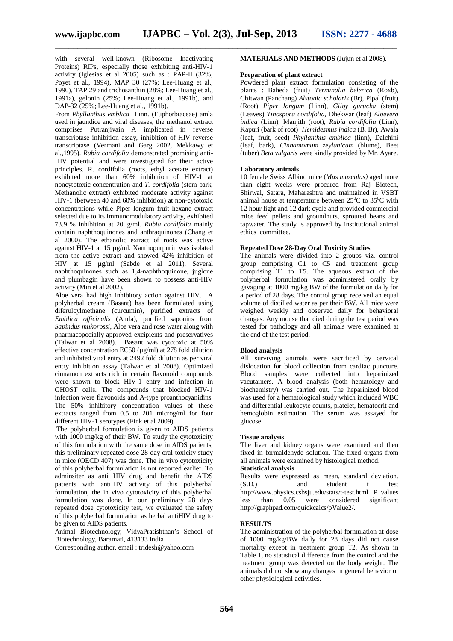with several well-known (Ribosome Inactivating Proteins) RIPs, especially those exhibiting anti-HIV-1 activity (Iglesias et al 2005) such as : PAP-II (32%; Poyet et al., 1994), MAP 30 (27%; Lee-Huang et al., 1990), TAP 29 and trichosanthin (28%; Lee-Huang et al., 1991a), gelonin (25%; Lee-Huang et al., 1991b), and DAP-32 (25%; Lee-Huang et al., 1991b).

From *Phyllanthus emblica* Linn. (Euphorbiaceae) amla used in jaundice and viral diseases, the methanol extract comprises Putranjivain A implicated in reverse transcriptase inhibition assay, inhibition of HIV reverse transcriptase (Vermani and Garg 2002, Mekkawy et al.,1995). *Rubia cordifolia* demonstrated promising anti-HIV potential and were investigated for their active principles. R. cordifolia (roots, ethyl acetate extract) exhibited more than 60% inhibition of HIV-1 at noncytotoxic concentration and *T. cordifolia* (stem bark, Methanolic extract) exhibited moderate activity against HIV-1 (between 40 and 60% inhibition) at non-cytotoxic concentrations while Piper longum fruit hexane extract selected due to its immunomodulatory activity, exhibited 73.9 % inhibition at 20µg/ml. *Rubia cordifolia* mainly contain naphthoquinones and anthraquinones (Chang et al 2000). The ethanolic extract of roots was active against HIV-1 at 15 µg/ml. Xanthopurpurin was isolated from the active extract and showed 42% inhibition of HIV at 15 µg/ml (Sabde et al 2011). Several naphthoquinones such as 1,4-naphthoquinone, juglone and plumbagin have been shown to possess anti-HIV activity (Min et al 2002).

Aloe vera had high inhibitory action against HIV. A polyherbal cream (Basant) has been formulated using diferuloylmethane (curcumin), purified extracts of *Emblica officinalis* (Amla), purified saponins from *Sapindus mukorossi*, Aloe vera and rose water along with pharmacopoeially approved excipients and preservatives (Talwar et al 2008). Basant was cytotoxic at 50% effective concentration EC50  $(\mu g/ml)$  at 278 fold dilution and inhibited viral entry at 2492 fold dilution as per viral entry inhibition assay (Talwar et al 2008). Optimized cinnamon extracts rich in certain flavonoid compounds were shown to block HIV-1 entry and infection in GHOST cells. The compounds that blocked HIV-1 infection were flavonoids and A-type proanthocyanidins. The 50% inhibitory concentration values of these extracts ranged from 0.5 to 201 microg/ml for four different HIV-1 serotypes (Fink et al 2009).

The polyherbal formulation is given to AIDS patients with 1000 mg/kg of their BW. To study the cytotoxicity of this formulation with the same dose in AIDS patients, this preliminary repeated dose 28-day oral toxicity study in mice (OECD 407) was done. The in vivo cytotoxicity of this polyherbal formulation is not reported earlier. To adminsiter as anti HIV drug and benefit the AIDS patients with antiHIV activity of this polyherbal formulation, the in vivo cytotoxicity of this polyherbal formulation was done. In our preliminary 28 days repeated dose cytotoxicity test, we evaluated the safety of this polyherbal formulation as herbal antiHIV drug to be given to AIDS patients.

Animal Biotechnology, VidyaPratishthan's School of Biotechnology, Baramati, 413133 India

Corresponding author, email : tridesh@yahoo.com

#### **MATERIALS AND METHODS (**Jujun et al 2008).

#### **Preparation of plant extract**

Powdered plant extract formulation consisting of the plants : Baheda (fruit) *Terminalia belerica* (Roxb), Chitwan (Panchang) *Alstonia scholaris* (Br), Pipal (fruit) (Root) *Piper longum* (Linn), *Giloy gurucha* (stem) (Leaves) *Tinospora cordifolia*, Dhekwar (leaf) *Aloevera indica* (Linn), Manjith (root), *Rubia cordifolia* (Linn), Kapuri (bark of root) *Hemidesmus indica* (B. Br), Awala (leaf, fruit, seed) *Phyllanthus emblica* (linn), Dalchini (leaf, bark), *Cinnamomum zeylanicum* (blume), Beet (tuber) *Beta vulgaris* were kindly provided by Mr. Ayare.

#### **Laboratory animals**

10 female Swiss Albino mice (*Mus musculus)* aged more than eight weeks were procured from Raj Biotech, Shirwal, Satara, Maharashtra and maintained in VSBT animal house at temperature between  $25^{\circ}$ C to  $35^{\circ}$ C with 12 hour light and 12 dark cycle and provided commercial mice feed pellets and groundnuts, sprouted beans and tapwater. The study is approved by institutional animal ethics committee.

#### **Repeated Dose 28-Day Oral Toxicity Studies**

The animals were divided into 2 groups viz. control group comprising C1 to C5 and treatment group comprising T1 to T5. The aqueous extract of the polyherbal formulation was administered orally by gavaging at 1000 mg/kg BW of the formulation daily for a period of 28 days. The control group received an equal volume of distilled water as per their BW. All mice were weighed weekly and observed daily for behavioral changes. Any mouse that died during the test period was tested for pathology and all animals were examined at the end of the test period.

#### **Blood analysis**

All surviving animals were sacrificed by cervical dislocation for blood collection from cardiac puncture. Blood samples were collected into heparinized vacutainers. A blood analysis (both hematology and biochemistry) was carried out. The heparinized blood was used for a hematological study which included WBC and differential leukocyte counts, platelet, hematocrit and hemoglobin estimation. The serum was assayed for glucose.

#### **Tissue analysis**

The liver and kidney organs were examined and then fixed in formaldehyde solution. The fixed organs from all animals were examined by histological method.

### **Statistical analysis**

Results were expressed as mean, standard deviation. (S.D.) and student t test http://www.physics.csbsju.edu/stats/t-test.html. P values<br>less than 0.05 were considered significant less than 0.05 were considered significant http://graphpad.com/quickcalcs/pValue2/.

#### **RESULTS**

The administration of the polyherbal formulation at dose of 1000 mg/kg/BW daily for 28 days did not cause mortality except in treatment group T2. As shown in Table 1, no statistical difference from the control and the treatment group was detected on the body weight. The animals did not show any changes in general behavior or other physiological activities.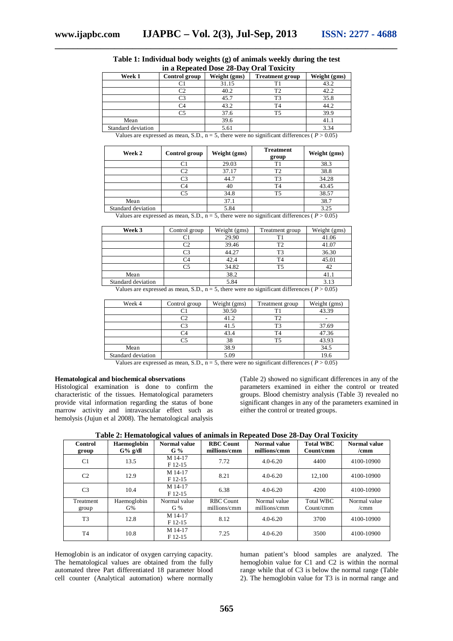| Week 1                                                                                                              | Control group | Weight (gms) | <b>Treatment group</b> | Weight (gms) |  |  |  |
|---------------------------------------------------------------------------------------------------------------------|---------------|--------------|------------------------|--------------|--|--|--|
|                                                                                                                     |               | 31.15        | T1                     | 43.2         |  |  |  |
|                                                                                                                     | C2            | 40.2         | T2                     | 42.2         |  |  |  |
|                                                                                                                     | C3            | 45.7         | T3                     | 35.8         |  |  |  |
|                                                                                                                     | C4            | 43.2         | T4                     | 44.2         |  |  |  |
|                                                                                                                     | C5            | 37.6         | T5                     | 39.9         |  |  |  |
| Mean                                                                                                                |               | 39.6         |                        | 41.1         |  |  |  |
| Standard deviation                                                                                                  |               | 5.61         |                        | 3.34         |  |  |  |
| Values are expressed as mean, $\mathcal{E}$ $D_{1}$ $n=5$ there were no significant differences ( $D \times 0.05$ ) |               |              |                        |              |  |  |  |

**Table 1: Individual body weights (g) of animals weekly during the test in a Repeated Dose 28-Day Oral Toxicity**

Values are expressed as mean, S.D.,  $n = 5$ , there were no significant differences ( $P > 0.05$ )

| Week 2             | Weight (gms)<br>Control group |       | <b>Treatment</b><br>group | Weight (gms) |
|--------------------|-------------------------------|-------|---------------------------|--------------|
|                    | C1                            | 29.03 |                           | 38.3         |
|                    | C2                            | 37.17 | ፐን                        | 38.8         |
|                    | C <sub>3</sub>                | 44.7  | T <sub>3</sub>            | 34.28        |
|                    | C4                            | 40    | T4                        | 43.45        |
|                    | C5                            | 34.8  | T5                        | 38.57        |
| Mean               |                               | 37.1  |                           | 38.7         |
| Standard deviation |                               | 5.84  |                           | 3.25         |

Values are expressed as mean, S.D.,  $n = 5$ , there were no significant differences ( $P > 0.05$ )

| Week 3             | Control group  | Weight (gms) | Treatment group | Weight (gms) |
|--------------------|----------------|--------------|-----------------|--------------|
|                    |                | 29.90        |                 | 41.06        |
|                    | ൚              | 39.46        | ፐን              | 41.07        |
|                    | C <sub>3</sub> | 44.27        | ፐ3              | 36.30        |
|                    | C4             | 42.4         | T4              | 45.01        |
|                    | 6٢             | 34.82        | ፐና              | 42           |
| Mean               |                | 38.2         |                 | 41.1         |
| Standard deviation |                | 5.84         |                 | 3.13         |

Values are expressed as mean, S.D.,  $n = 5$ , there were no significant differences ( $P > 0.05$ )

| Week 4             | Control group | Weight (gms)   | Treatment group               | Weight (gms) |
|--------------------|---------------|----------------|-------------------------------|--------------|
|                    |               | 30.50          |                               | 43.39        |
|                    | C2            | 41.2           | T <sub>2</sub>                |              |
|                    | C3            | 41.5           | T <sub>3</sub>                | 37.69        |
|                    | C4            | 43.4           | T4                            | 47.36        |
|                    | C5            | 38             | <b>T5</b>                     | 43.93        |
| Mean               |               | 38.9           |                               | 34.5         |
| Standard deviation |               | 5.09           |                               | 19.6         |
| <b>TT 1</b>        | $\sim$ $\sim$ | $\cdot$ 1<br>- | $\cdot$ $\sim$<br>$\sim$ 1.00 | (5.00)       |

Values are expressed as mean, S.D.,  $n = 5$ , there were no significant differences ( $P > 0.05$ )

#### **Hematological and biochemical observations**

Histological examination is done to confirm the characteristic of the tissues. Hematological parameters provide vital information regarding the status of bone marrow activity and intravascular effect such as hemolysis (Jujun et al 2008). The hematological analysis (Table 2) showed no significant differences in any of the parameters examined in either the control or treated groups. Blood chemistry analysis (Table 3) revealed no significant changes in any of the parameters examined in either the control or treated groups.

| <b>Control</b><br>group | Haemoglobin<br>$G%$ g/dl | Normal value<br>G% | <b>RBC</b> Count<br>millions/cmm | Normal value<br>millions/cmm | <b>Total WBC</b><br>Count/cmm | <b>Normal</b> value<br>/cmm |
|-------------------------|--------------------------|--------------------|----------------------------------|------------------------------|-------------------------------|-----------------------------|
| C <sub>1</sub>          | 13.5                     | M 14-17<br>F 12-15 | 7.72                             | $4.0 - 6.20$                 | 4400                          | 4100-10900                  |
| C <sub>2</sub>          | 12.9                     | M 14-17<br>F 12-15 | 8.21                             | $4.0 - 6.20$                 | 12.100                        | 4100-10900                  |
| C <sub>3</sub>          | 10.4                     | M 14-17<br>F 12-15 | 6.38                             | $4.0 - 6.20$                 | 4200                          | 4100-10900                  |
| Treatment<br>group      | Haemoglobin<br>G%        | Normal value<br>G% | RBC Count<br>millions/cmm        | Normal value<br>millions/cmm | <b>Total WBC</b><br>Count/cmm | Normal value<br>/cmm        |
| T <sub>3</sub>          | 12.8                     | M 14-17<br>F 12-15 | 8.12                             | $4.0 - 6.20$                 | 3700                          | 4100-10900                  |
| T <sub>4</sub>          | 10.8                     | M 14-17<br>F 12-15 | 7.25                             | $4.0 - 6.20$                 | 3500                          | 4100-10900                  |

**Table 2: Hematological values of animals in Repeated Dose 28-Day Oral Toxicity**

Hemoglobin is an indicator of oxygen carrying capacity. The hematological values are obtained from the fully automated three Part differentiated 18 parameter blood cell counter (Analytical automation) where normally human patient's blood samples are analyzed. The hemoglobin value for C1 and C2 is within the normal range while that of C3 is below the normal range (Table 2). The hemoglobin value for T3 is in normal range and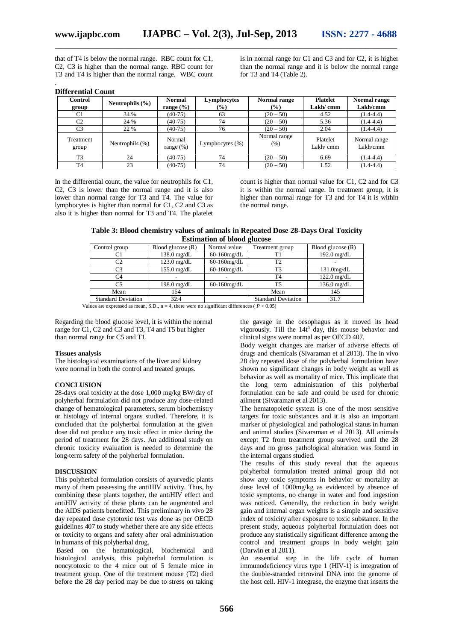that of T4 is below the normal range. RBC count for C1, C2, C3 is higher than the normal range. RBC count for T3 and T4 is higher than the normal range. WBC count is in normal range for C1 and C3 and for C2, it is higher than the normal range and it is below the normal range for T3 and T4 (Table 2).

| <b>Differential Count</b> |  |
|---------------------------|--|
|---------------------------|--|

.

| Control<br>group          | Neutrophils $(\% )$ | <b>Normal</b><br>range $(\% )$ | Lymphocytes<br>$\frac{1}{2}$ | Normal range<br>$(\%)$  | <b>Platelet</b><br>Lakh/ cmm | Normal range<br>Lakh/cmm |
|---------------------------|---------------------|--------------------------------|------------------------------|-------------------------|------------------------------|--------------------------|
| C1                        | 34 %                | $(40-75)$                      | 63                           | $(20 - 50)$             | 4.52                         | $(1.4-4.4)$              |
| C <sub>2</sub>            | 24 %                | $(40-75)$                      | 74                           | $(20 - 50)$             | 5.36                         | $(1.4-4.4)$              |
| C <sub>3</sub>            | 22 %                | $(40-75)$                      | 76                           | $(20 - 50)$             | 2.04                         | $(1.4 - 4.4)$            |
| <b>Treatment</b><br>group | Neutrophils $(\%)$  | Normal<br>range $(\%)$         | Lymphocytes $(\%)$           | Normal range<br>$(\% )$ | Platelet<br>Lakh/cmm         | Normal range<br>Lakh/cmm |
| T <sub>3</sub>            | 24                  | $(40-75)$                      | 74                           | $(20 - 50)$             | 6.69                         | $(1.4-4.4)$              |
| T <sub>4</sub>            | 23                  | $(40-75)$                      | 74                           | $(20 - 50)$             | 1.52                         | $(1.4 - 4.4)$            |

In the differential count, the value for neutrophils for C1, C2, C3 is lower than the normal range and it is also lower than normal range for T3 and T4. The value for lymphocytes is higher than normal for C1, C2 and C3 as also it is higher than normal for T3 and T4. The platelet count is higher than normal value for C1, C2 and for C3 it is within the normal range. In treatment group, it is higher than normal range for T3 and for T4 it is within the normal range.

**Table 3: Blood chemistry values of animals in Repeated Dose 28-Days Oral Toxicity Estimation of blood glucose**

| Control group                                                                        | Blood glucose $(R)$   | Normal value   | Treatment group           | Blood glucose $(R)$   |  |  |
|--------------------------------------------------------------------------------------|-----------------------|----------------|---------------------------|-----------------------|--|--|
| C1                                                                                   | $138.0 \text{ mg/dL}$ | $60-160$ mg/dL |                           | $192.0 \text{ mg/dL}$ |  |  |
| C2                                                                                   | $123.0 \text{ mg/dL}$ | $60-160$ mg/dL | T2                        |                       |  |  |
| C3                                                                                   | $155.0$ mg/dL         | $60-160$ mg/dL | T3                        | $131.0$ mg/dL         |  |  |
| C4                                                                                   |                       |                | T4                        | $122.0$ mg/dL         |  |  |
| C5                                                                                   | $198.0 \text{ mg/dL}$ | $60-160$ mg/dL | Т5                        | $136.0$ mg/dL         |  |  |
| Mean                                                                                 | 154                   |                | Mean                      | 145                   |  |  |
| <b>Standard Deviation</b>                                                            | 32.4                  |                | <b>Standard Deviation</b> | 31.7                  |  |  |
| $\sim$ $\sim$<br>$\cdots$<br>$\sim$ $\sim$ $\sim$ $\sim$<br>$\sim$ $\sim$<br>$\cdot$ |                       |                |                           |                       |  |  |

Values are expressed as mean, S.D.,  $n = 4$ , there were no significant differences ( $P > 0.05$ )

Regarding the blood glucose level, it is within the normal range for C1, C2 and C3 and T3, T4 and T5 but higher than normal range for C5 and T1.

#### **Tissues analysis**

The histological examinations of the liver and kidney were normal in both the control and treated groups.

#### **CONCLUSION**

28-days oral toxicity at the dose 1,000 mg/kg BW/day of polyherbal formulation did not produce any dose-related change of hematological parameters, serum biochemistry or histology of internal organs studied. Therefore, it is concluded that the polyherbal formulation at the given dose did not produce any toxic effect in mice during the period of treatment for 28 days. An additional study on chronic toxicity evaluation is needed to determine the long-term safety of the polyherbal formulation.

#### **DISCUSSION**

This polyherbal formulation consists of ayurvedic plants many of them possessing the antiHIV activity. Thus, by combining these plants together, the antiHIV effect and antiHIV activity of these plants can be augmented and the AIDS patients benefitted. This preliminary in vivo 28 day repeated dose cytotoxic test was done as per OECD guidelines 407 to study whether there are any side effects or toxicity to organs and safety after oral administration in humans of this polyherbal drug.

Based on the hematological, biochemical and histological analysis, this polyherbal formulation is noncytotoxic to the 4 mice out of 5 female mice in treatment group. One of the treatment mouse (T2) died before the 28 day period may be due to stress on taking the gavage in the oesophagus as it moved its head vigorously. Till the  $14t<sup>h</sup>$  day, this mouse behavior and clinical signs were normal as per OECD 407.

Body weight changes are marker of adverse effects of drugs and chemicals (Sivaraman et al 2013). The in vivo 28 day repeated dose of the polyherbal formulation have shown no significant changes in body weight as well as behavior as well as mortality of mice. This implicate that the long term administration of this polyherbal formulation can be safe and could be used for chronic ailment (Sivaraman et al 2013).

The hematopoietic system is one of the most sensitive targets for toxic substances and it is also an important marker of physiological and pathological status in human and animal studies (Sivaraman et al 2013). All animals except T2 from treatment group survived until the 28 days and no gross pathological alteration was found in the internal organs studied.

The results of this study reveal that the aqueous polyherbal formulation treated animal group did not show any toxic symptoms in behavior or mortality at dose level of 1000mg/kg as evidenced by absence of toxic symptoms, no change in water and food ingestion was noticed. Generally, the reduction in body weight gain and internal organ weights is a simple and sensitive index of toxicity after exposure to toxic substance. In the present study, aqueous polyherbal formulation does not produce any statistically significant difference among the control and treatment groups in body weight gain (Darwin et al 2011).

An essential step in the life cycle of human immunodeficiency virus type 1 (HIV-1) is integration of the double-stranded retroviral DNA into the genome of the host cell. HIV-1 integrase, the enzyme that inserts the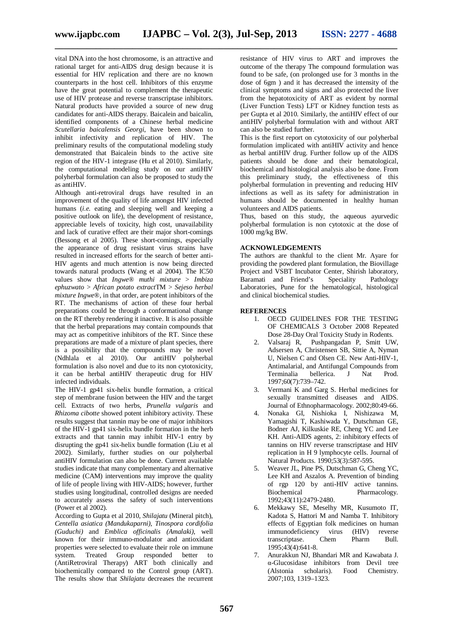vital DNA into the host chromosome, is an attractive and rational target for anti-AIDS drug design because it is essential for HIV replication and there are no known counterparts in the host cell. Inhibitors of this enzyme have the great potential to complement the therapeutic use of HIV protease and reverse transcriptase inhibitors. Natural products have provided a source of new drug candidates for anti-AIDS therapy. Baicalein and baicalin, identified components of a Chinese herbal medicine *Scutellaria baicalensis Georgi*, have been shown to inhibit infectivity and replication of HIV. The preliminary results of the computational modeling study demonstrated that Baicalein binds to the active site region of the HIV-1 integrase (Hu et al 2010). Similarly, the computational modeling study on our antiHIV polyherbal formulation can also be proposed to study the as antiHIV.

Although anti-retroviral drugs have resulted in an improvement of the quality of life amongst HIV infected humans (*i.e.* eating and sleeping well and keeping a positive outlook on life), the development of resistance, appreciable levels of toxicity, high cost, unavailability and lack of curative effect are their major short-comings (Bessong et al 2005). These short-comings, especially the appearance of drug resistant virus strains have resulted in increased efforts for the search of better anti-HIV agents and much attention is now being directed towards natural products (Wang et al 2004). The IC50 values show that *Ingwe® muthi mixture* > *Imbiza ephuzwato* > *African potato extract*TM > *Sejeso herbal mixture Ingwe®*, in that order, are potent inhibitors of the RT. The mechanisms of action of these four herbal preparations could be through a conformational change on the RT thereby rendering it inactive. It is also possible that the herbal preparations may contain compounds that may act as competitive inhibitors of the RT. Since these preparations are made of a mixture of plant species, there is a possibility that the compounds may be novel (Ndhlala et al 2010). Our antiHIV polyherbal formulation is also novel and due to its non cytotoxicity, it can be herbal antiHIV therapeutic drug for HIV infected individuals.

The HIV-1 gp41 six-helix bundle formation, a critical step of membrane fusion between the HIV and the target cell. Extracts of two herbs, *Prunella vulgaris* and *Rhizoma cibotte* showed potent inhibitory activity. These results suggest that tannin may be one of major inhibitors of the HIV-1 gp41 six-helix bundle formation in the herb extracts and that tannin may inhibit HIV-1 entry by disrupting the gp41 six-helix bundle formation (Liu et al 2002). Similarly, further studies on our polyherbal antiHIV formulation can also be done. Current available studies indicate that many complementary and alternative medicine (CAM) interventions may improve the quality of life of people living with HIV-AIDS; however, further studies using longitudinal, controlled designs are needed to accurately assess the safety of such interventions (Power et al 2002).

According to Gupta et al 2010, *Shilajatu* (Mineral pitch), *Centella asiatica (Mandukaparni), Tinospora cordifolia (Guduchi)* and *Emblica officinalis (Amalaki)*, well known for their immuno-modulator and antioxidant properties were selected to evaluate their role on immune system. Treated Group responded better to (AntiRetroviral Therapy) ART both clinically and biochemically compared to the Control group (ART). The results show that *Shilajatu* decreases the recurrent

resistance of HIV virus to ART and improves the outcome of the therapy The compound formulation was found to be safe, (on prolonged use for 3 months in the dose of 6gm ) and it has decreased the intensity of the clinical symptoms and signs and also protected the liver from the hepatotoxicity of ART as evident by normal (Liver Function Tests) LFT or Kidney function tests as per Gupta et al 2010. Similarly, the antiHIV effect of our antiHIV polyherbal formulation with and without ART can also be studied further.

This is the first report on cytotoxicity of our polyherbal formulation implicated with antiHIV activity and hence as herbal antiHIV drug. Further follow up of the AIDS patients should be done and their hematological, biochemical and histological analysis also be done. From this preliminary study, the effectiveness of this polyherbal formulation in preventing and reducing HIV infections as well as its safety for administration in humans should be documented in healthy human volunteers and AIDS patients.

Thus, based on this study, the aqueous ayurvedic polyherbal formulation is non cytotoxic at the dose of 1000 mg/kg BW.

#### **ACKNOWLEDGEMENTS**

The authors are thankful to the client Mr. Ayare for providing the powdered plant formulation, the Biovillage Project and VSBT Incubator Center, Shirish laboratory, Baramati and Friend's Speciality Pathology Laboratories, Pune for the hematological, histological and clinical biochemical studies.

#### **REFERENCES**

- 1. OECD GUIDELINES FOR THE TESTING OF CHEMICALS 3 October 2008 Repeated Dose 28-Day Oral Toxicity Study in Rodents.
- 2. Valsaraj R, Pushpangadan P, Smitt UW, Adsersen A, Christensen SB, Sittie A, Nyman U, Nielsen C and Olsen CE. New Anti-HIV-1, Antimalarial, and Antifungal Compounds from Terminalia bellerica. J Nat Prod. 1997;60(7):739–742.
- 3. Vermani K and Garg S. Herbal medicines for sexually transmitted diseases and AIDS. Journal of Ethnopharmacology. 2002;80:49-66.
- 4. Nonaka GI, Nishioka I, Nishizawa M, Yamagishi T, Kashiwada Y, Dutschman GE, Bodner AJ, Kilkuskie RE, Cheng YC and Lee KH. Anti-AIDS agents, 2: inhibitory effects of tannins on HIV reverse transcriptase and HIV replication in H 9 lymphocyte cells. Journal of Natural Products. 1990;53(3):587-595.
- 5. Weaver JL, Pine PS, Dutschman G, Cheng YC, Lee KH and Aszalos A. Prevention of binding of rgp 120 by anti-HIV active tannins. Biochemical Pharmacology. 1992;43(11):2479-2480.
- 6. Mekkawy SE, Meselhy MR, Kusumoto IT, Kadota S, Hattori M and Namba T. Inhibitory effects of Egyptian folk medicines on human immunodeficiency virus (HIV) reverse<br>transcriptase. Chem Pharm Bull. transcriptase. Chem Pharm Bull. 1995;43(4):641-8.
- 7. Anurakkun NJ, Bhandari MR and Kawabata J. α-Glucosidase inhibitors from Devil tree (Alstonia scholaris). 2007;103, 1319–1323.